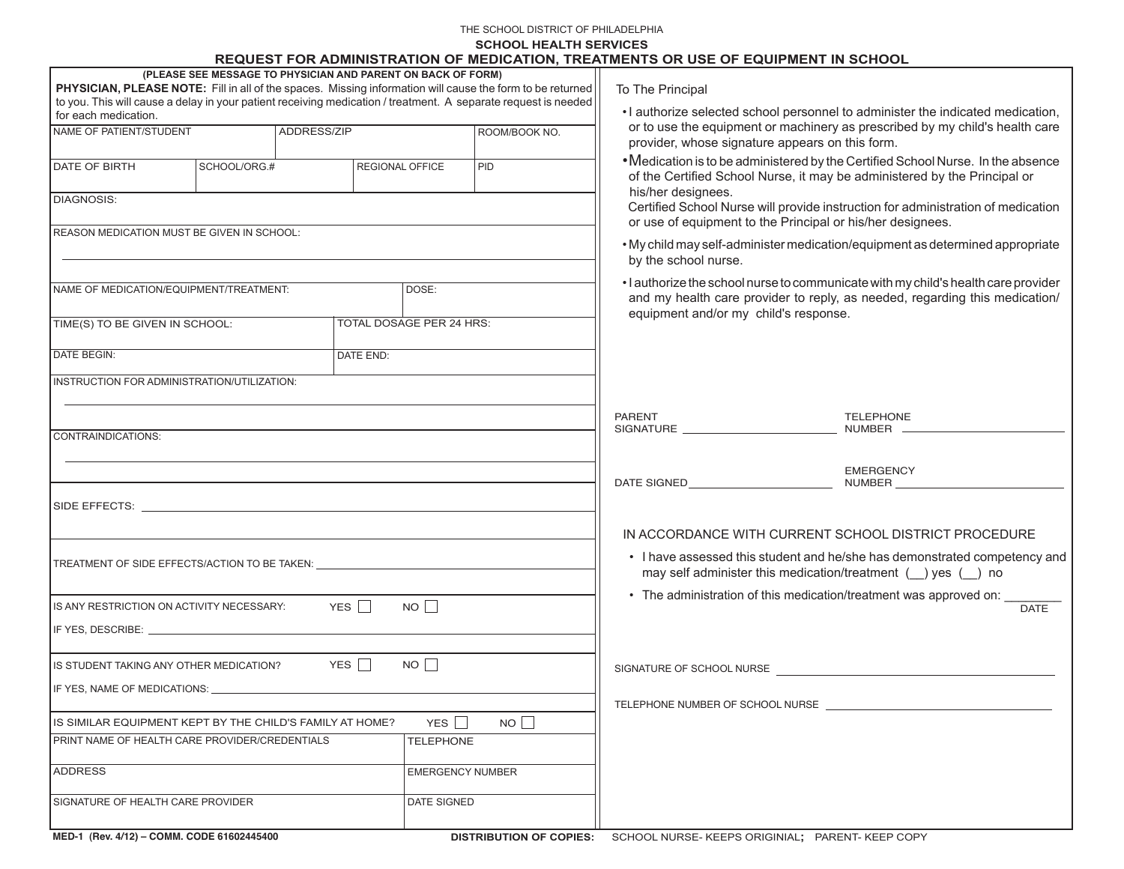#### THE SCHOOL DISTRICT OF PHILADELPHIA

#### **SCHOOL HEALTH SERVICES**

# **REQUEST FOR ADMINISTRATION OF MEDICATION, TREATMENTS OR USE OF EQUIPMENT IN SCHOOL**

|                                                                                                                                                                                                                                |              |  |                        |                          | <b>THE WOLLD'T DIVIDIMINIO HANDON OF MILDIOATION, THEATMENTO ON OUL OF LWOIL MENT IN OUTD</b> |                                                                                                                                                                                                            |                                                                                                                                 |                                                                                  |
|--------------------------------------------------------------------------------------------------------------------------------------------------------------------------------------------------------------------------------|--------------|--|------------------------|--------------------------|-----------------------------------------------------------------------------------------------|------------------------------------------------------------------------------------------------------------------------------------------------------------------------------------------------------------|---------------------------------------------------------------------------------------------------------------------------------|----------------------------------------------------------------------------------|
| (PLEASE SEE MESSAGE TO PHYSICIAN AND PARENT ON BACK OF FORM)<br>PHYSICIAN, PLEASE NOTE: Fill in all of the spaces. Missing information will cause the form to be returned                                                      |              |  |                        |                          |                                                                                               | To The Principal                                                                                                                                                                                           |                                                                                                                                 |                                                                                  |
| to you. This will cause a delay in your patient receiving medication / treatment. A separate request is needed<br>for each medication.                                                                                         |              |  |                        |                          |                                                                                               | • I authorize selected school personnel to administer the indicated medication,                                                                                                                            |                                                                                                                                 |                                                                                  |
| NAME OF PATIENT/STUDENT<br>ADDRESS/ZIP                                                                                                                                                                                         |              |  |                        |                          | ROOM/BOOK NO.                                                                                 |                                                                                                                                                                                                            | or to use the equipment or machinery as prescribed by my child's health care<br>provider, whose signature appears on this form. |                                                                                  |
|                                                                                                                                                                                                                                |              |  |                        |                          |                                                                                               |                                                                                                                                                                                                            |                                                                                                                                 | • Medication is to be administered by the Certified School Nurse. In the absence |
| DATE OF BIRTH                                                                                                                                                                                                                  | SCHOOL/ORG.# |  | <b>REGIONAL OFFICE</b> |                          | PID                                                                                           |                                                                                                                                                                                                            | of the Certified School Nurse, it may be administered by the Principal or<br>his/her designees.                                 |                                                                                  |
| <b>DIAGNOSIS:</b>                                                                                                                                                                                                              |              |  |                        |                          |                                                                                               | Certified School Nurse will provide instruction for administration of medication<br>or use of equipment to the Principal or his/her designees.                                                             |                                                                                                                                 |                                                                                  |
| REASON MEDICATION MUST BE GIVEN IN SCHOOL:                                                                                                                                                                                     |              |  |                        |                          |                                                                                               | . My child may self-administer medication/equipment as determined appropriate<br>by the school nurse.                                                                                                      |                                                                                                                                 |                                                                                  |
|                                                                                                                                                                                                                                |              |  |                        |                          |                                                                                               |                                                                                                                                                                                                            |                                                                                                                                 |                                                                                  |
| NAME OF MEDICATION/EQUIPMENT/TREATMENT:                                                                                                                                                                                        |              |  |                        | DOSE:                    |                                                                                               | • I authorize the school nurse to communicate with my child's health care provider<br>and my health care provider to reply, as needed, regarding this medication/<br>equipment and/or my child's response. |                                                                                                                                 |                                                                                  |
| TIME(S) TO BE GIVEN IN SCHOOL:                                                                                                                                                                                                 |              |  |                        | TOTAL DOSAGE PER 24 HRS: |                                                                                               |                                                                                                                                                                                                            |                                                                                                                                 |                                                                                  |
| <b>DATE BEGIN:</b><br>DATE END:                                                                                                                                                                                                |              |  |                        |                          |                                                                                               |                                                                                                                                                                                                            |                                                                                                                                 |                                                                                  |
| INSTRUCTION FOR ADMINISTRATION/UTILIZATION:                                                                                                                                                                                    |              |  |                        |                          |                                                                                               |                                                                                                                                                                                                            |                                                                                                                                 |                                                                                  |
|                                                                                                                                                                                                                                |              |  |                        |                          | <b>PARENT</b>                                                                                 |                                                                                                                                                                                                            | <b>TELEPHONE</b><br>NUMBER                                                                                                      |                                                                                  |
| CONTRAINDICATIONS:                                                                                                                                                                                                             |              |  |                        |                          |                                                                                               |                                                                                                                                                                                                            |                                                                                                                                 |                                                                                  |
|                                                                                                                                                                                                                                |              |  |                        |                          |                                                                                               |                                                                                                                                                                                                            |                                                                                                                                 | <b>EMERGENCY</b><br>DATE SIGNED NUMBER                                           |
| SIDE EFFECTS: WE ARREST A STATE OF THE STATE OF THE STATE OF THE STATE OF THE STATE OF THE STATE OF THE STATE OF THE STATE OF THE STATE OF THE STATE OF THE STATE OF THE STATE OF THE STATE OF THE STATE OF THE STATE OF THE S |              |  |                        |                          |                                                                                               |                                                                                                                                                                                                            |                                                                                                                                 |                                                                                  |
|                                                                                                                                                                                                                                |              |  |                        |                          |                                                                                               | IN ACCORDANCE WITH CURRENT SCHOOL DISTRICT PROCEDURE                                                                                                                                                       |                                                                                                                                 |                                                                                  |
| TREATMENT OF SIDE EFFECTS/ACTION TO BE TAKEN: __________________________________                                                                                                                                               |              |  |                        |                          |                                                                                               | • I have assessed this student and he/she has demonstrated competency and<br>may self administer this medication/treatment $($ ) yes $($ ) no                                                              |                                                                                                                                 |                                                                                  |
| YES $\Box$<br>NO<br>IS ANY RESTRICTION ON ACTIVITY NECESSARY:                                                                                                                                                                  |              |  |                        |                          |                                                                                               | • The administration of this medication/treatment was approved on:<br><b>DATE</b>                                                                                                                          |                                                                                                                                 |                                                                                  |
|                                                                                                                                                                                                                                |              |  |                        |                          |                                                                                               |                                                                                                                                                                                                            |                                                                                                                                 |                                                                                  |
|                                                                                                                                                                                                                                |              |  |                        |                          |                                                                                               |                                                                                                                                                                                                            |                                                                                                                                 |                                                                                  |
| YES $\Box$<br>NO<br>IS STUDENT TAKING ANY OTHER MEDICATION?                                                                                                                                                                    |              |  |                        |                          |                                                                                               | SIGNATURE OF SCHOOL NURSE                                                                                                                                                                                  |                                                                                                                                 |                                                                                  |
| IF YES, NAME OF MEDICATIONS: WE ARRIVE THE STATE OF THE STATE OF THE STATE OF THE STATE OF THE STATE OF THE ST                                                                                                                 |              |  |                        |                          |                                                                                               | TELEPHONE NUMBER OF SCHOOL NURSE                                                                                                                                                                           |                                                                                                                                 |                                                                                  |
| NO<br>YES $\Box$<br>IS SIMILAR EQUIPMENT KEPT BY THE CHILD'S FAMILY AT HOME?                                                                                                                                                   |              |  |                        |                          |                                                                                               |                                                                                                                                                                                                            |                                                                                                                                 |                                                                                  |
| PRINT NAME OF HEALTH CARE PROVIDER/CREDENTIALS<br><b>TELEPHONE</b>                                                                                                                                                             |              |  |                        |                          |                                                                                               |                                                                                                                                                                                                            |                                                                                                                                 |                                                                                  |
| <b>ADDRESS</b><br><b>EMERGENCY NUMBER</b>                                                                                                                                                                                      |              |  |                        |                          |                                                                                               |                                                                                                                                                                                                            |                                                                                                                                 |                                                                                  |
| SIGNATURE OF HEALTH CARE PROVIDER<br>DATE SIGNED                                                                                                                                                                               |              |  |                        |                          |                                                                                               |                                                                                                                                                                                                            |                                                                                                                                 |                                                                                  |

**MED-1 (Rev. 4/12) – COMM. CODE 61602445400**